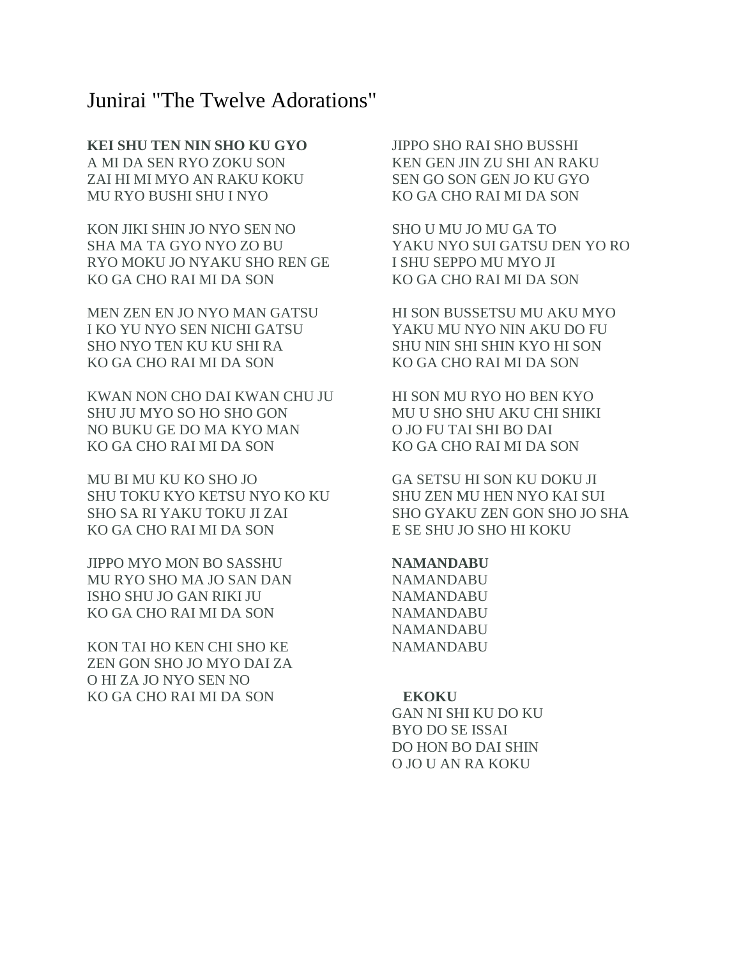# Junirai "The Twelve Adorations"

# **KEI SHU TEN NIN SHO KU GYO**

A MI DA SEN RYO ZOKU SON ZAI HI MI MYO AN RAKU KOKU MU RYO BUSHI SHU I NYO

KON JIKI SHIN JO NYO SEN NO SHA MA TA GYO NYO ZO BU RYO MOKU JO NYAKU SHO REN GE KO GA CHO RAI MI DA SON

MEN ZEN EN JO NYO MAN GATSU I KO YU NYO SEN NICHI GATSU SHO NYO TEN KU KU SHI RA KO GA CHO RAI MI DA SON

KWAN NON CHO DAI KWAN CHU JU SHU JU MYO SO HO SHO GON NO BUKU GE DO MA KYO MAN KO GA CHO RAI MI DA SON

MU BI MU KU KO SHO JO SHU TOKU KYO KETSU NYO KO KU SHO SA RI YAKU TOKU JI ZAI KO GA CHO RAI MI DA SON

JIPPO MYO MON BO SASSHU MU RYO SHO MA JO SAN DAN ISHO SHU JO GAN RIKI JU KO GA CHO RAI MI DA SON

KON TAI HO KEN CHI SHO KE ZEN GON SHO JO MYO DAI ZA O HI ZA JO NYO SEN NO KO GA CHO RAI MI DA SON

JIPPO SHO RAI SHO BUSSHI KEN GEN JIN ZU SHI AN RAKU SEN GO SON GEN JO KU GYO KO GA CHO RAI MI DA SON

SHO U MU JO MU GA TO YAKU NYO SUI GATSU DEN YO RO I SHU SEPPO MU MYO JI KO GA CHO RAI MI DA SON

HI SON BUSSETSU MU AKU MYO YAKU MU NYO NIN AKU DO FU SHU NIN SHI SHIN KYO HI SON KO GA CHO RAI MI DA SON

HI SON MU RYO HO BEN KYO MU U SHO SHU AKU CHI SHIKI O JO FU TAI SHI BO DAI KO GA CHO RAI MI DA SON

GA SETSU HI SON KU DOKU JI SHU ZEN MU HEN NYO KAI SUI SHO GYAKU ZEN GON SHO JO SHA E SE SHU JO SHO HI KOKU

## **NAMANDABU**

NAMANDABU NAMANDABU NAMANDABU NAMANDABU NAMANDABU

#### **EKOKU**

GAN NI SHI KU DO KU BYO DO SE ISSAI DO HON BO DAI SHIN O JO U AN RA KOKU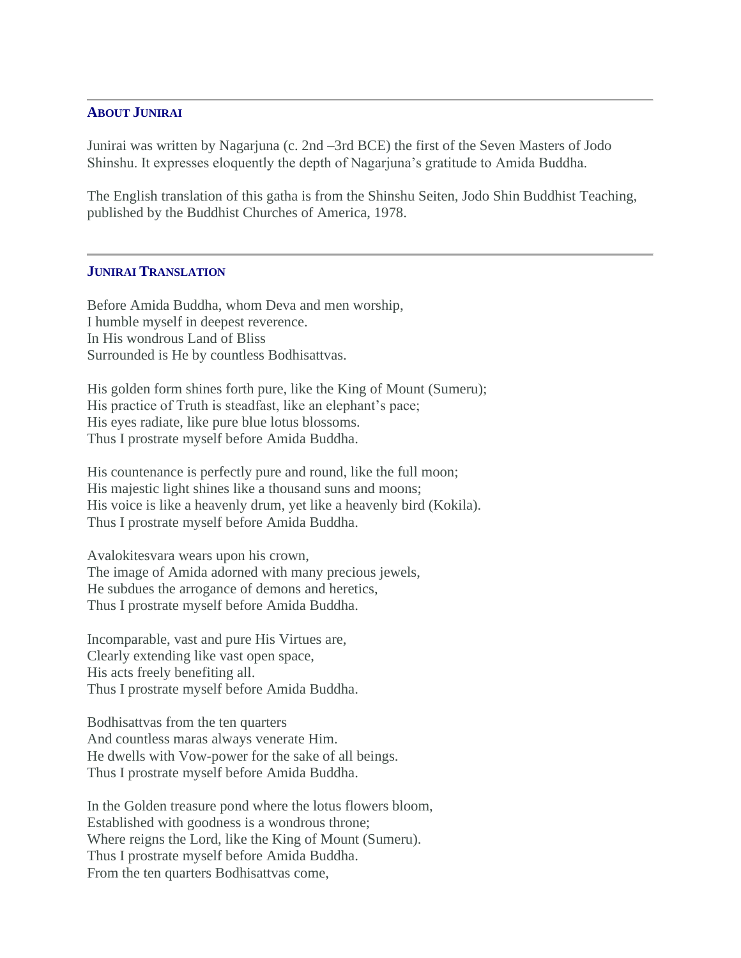# **ABOUT JUNIRAI**

Junirai was written by Nagarjuna (c. 2nd –3rd BCE) the first of the Seven Masters of Jodo Shinshu. It expresses eloquently the depth of Nagarjuna's gratitude to Amida Buddha.

The English translation of this gatha is from the Shinshu Seiten, Jodo Shin Buddhist Teaching, published by the Buddhist Churches of America, 1978.

## **JUNIRAI TRANSLATION**

Before Amida Buddha, whom Deva and men worship, I humble myself in deepest reverence. In His wondrous Land of Bliss Surrounded is He by countless Bodhisattvas.

His golden form shines forth pure, like the King of Mount (Sumeru); His practice of Truth is steadfast, like an elephant's pace; His eyes radiate, like pure blue lotus blossoms. Thus I prostrate myself before Amida Buddha.

His countenance is perfectly pure and round, like the full moon; His majestic light shines like a thousand suns and moons; His voice is like a heavenly drum, yet like a heavenly bird (Kokila). Thus I prostrate myself before Amida Buddha.

Avalokitesvara wears upon his crown, The image of Amida adorned with many precious jewels, He subdues the arrogance of demons and heretics, Thus I prostrate myself before Amida Buddha.

Incomparable, vast and pure His Virtues are, Clearly extending like vast open space, His acts freely benefiting all. Thus I prostrate myself before Amida Buddha.

Bodhisattvas from the ten quarters And countless maras always venerate Him. He dwells with Vow-power for the sake of all beings. Thus I prostrate myself before Amida Buddha.

In the Golden treasure pond where the lotus flowers bloom, Established with goodness is a wondrous throne; Where reigns the Lord, like the King of Mount (Sumeru). Thus I prostrate myself before Amida Buddha. From the ten quarters Bodhisattvas come,